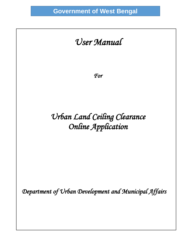# *User Manual*

 $\overline{\phantom{a}}$ 

 $\overline{\phantom{a}}$ 

*For* 

# *Urban Land Ceiling Clearance Online Application*

 *Department of Urban Development and Municipal Affairs*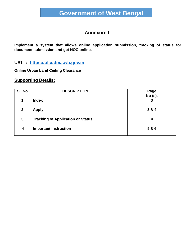### **Annexure I**

**Implement a system that allows online application submission, tracking of status for document submission and get NOC online.**

#### **URL : [https://ulcudma.wb.gov.in](https://ulcudma.wb.gov.in/)**

**Online Urban Land Ceiling Clearance**

#### **Supporting Details:**

| SI. No. | <b>DESCRIPTION</b>                       | Page<br><b>No (s).</b> |
|---------|------------------------------------------|------------------------|
| 1.      | <b>Index</b>                             | 3                      |
| 2.      | <b>Apply</b>                             | 3 & 4                  |
| 3.      | <b>Tracking of Application or Status</b> | 4                      |
| 4       | <b>Important Instruction</b>             | 5 & 6                  |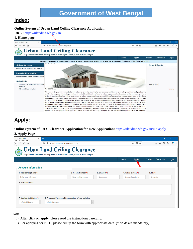### **Index:**

#### **Online System of Urban Land Ceiling Clearance Application**

**URL :** https://ulcudma.wb.gov.in

#### **1. Home page**



## **Apply:**

#### **Online System of ULC Clearance Application for New Application:** https://ulcudma.wb.gov.in/ulc-apply

#### **2. Apply Page**

| $\pm$<br>$\times$<br>UI C I UD & MA Dent.<br>ULC   UD & MA Dept. |                                                                                                                  |                     |                   |                      |              |               |           | σ     |  |
|------------------------------------------------------------------|------------------------------------------------------------------------------------------------------------------|---------------------|-------------------|----------------------|--------------|---------------|-----------|-------|--|
| $C$ $\hat{w}$<br>$^\copyright$<br>$\rightarrow$                  | △ 25 https://ulcudma.wb.gov.in/ulc-apply                                                                         |                     |                   |                      | … ⊙ ☆        |               | 不一<br>⊕   | ŵ.    |  |
|                                                                  | <b>Urban Land Ceiling Clearance</b><br>Department of Urban Development & Municipal Affairs, Govt. of West Bengal |                     |                   |                      |              |               |           |       |  |
|                                                                  |                                                                                                                  |                     |                   | Home                 | <b>Apply</b> | <b>Status</b> | ContactUs | Login |  |
|                                                                  |                                                                                                                  |                     |                   |                      |              |               |           |       |  |
| <b>Account Information</b>                                       |                                                                                                                  |                     |                   |                      |              |               |           |       |  |
| 1. Applicant(s) Name *:                                          |                                                                                                                  | 2. Mobile Number *: | 3. Email $ID^*$ : | 4. Police Station *: |              | 5. PIN *:     |           |       |  |
| Enter your full name                                             |                                                                                                                  | Enter mobile number | Enter email       | Enter police station |              | Enter pin     |           |       |  |
| 6. Postal Address *:                                             |                                                                                                                  |                     |                   |                      |              |               |           |       |  |
|                                                                  |                                                                                                                  |                     |                   |                      |              |               |           |       |  |
|                                                                  |                                                                                                                  |                     |                   |                      |              |               |           |       |  |
|                                                                  |                                                                                                                  |                     |                   |                      |              |               |           |       |  |
| 7. Applicant(s) Status *:                                        | 9. Proposed Purpose of Construction of new building*:                                                            |                     |                   |                      |              |               |           |       |  |
| --Select Status--<br>$\vee$                                      | --Select Case--                                                                                                  | $\vee$              |                   |                      |              |               |           |       |  |
|                                                                  |                                                                                                                  |                     |                   |                      |              |               |           |       |  |

Note :

- I) After click on **apply**, please read the instructions carefully.
- II) For applying for NOC, please fill up the form with appropriate data. (**\*** fields are mandatory)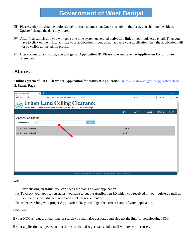- III) Please verify the data meticulously before final submission. Once you submit the form, you shall not be able to Update / change the data any more.
- IV) After final submission you will get a one time system generated **activation link** in your registered email. Then you have to click on the link to activate your application. If you do not activate your application, then the application will not be visible at the admin profile.
- V) After successful activation, you will get an **Application ID**. Please note and save the **Application ID** for future references.

### **Status :**

**Online System of ULC Clearance Application for status of Application :** https://ulcudma.wb.gov.in/ application-status **2. Status Page** 

| $^{+}$<br>$\times$<br>ULC   UD & MA Dept.                                                                        |               |                       |               |                       | $\Box$<br>$\times$ |
|------------------------------------------------------------------------------------------------------------------|---------------|-----------------------|---------------|-----------------------|--------------------|
| $\leftarrow$<br>G<br>⋒<br>$\mathbb O$<br>△ 25 https://ulcudma.wb.gov.in/application-status                       |               | $\cdots$ $\odot$<br>☆ |               | 业<br>$\parallel$<br>⊕ | $\equiv$<br>ŵ      |
| <b>Urban Land Ceiling Clearance</b><br>Department of Urban Development & Municipal Affairs, Govt. of West Bengal |               |                       |               |                       | ×                  |
|                                                                                                                  | Home          | <b>Apply</b>          | <b>Status</b> | ContactUs             | Login              |
| <b>Application Status</b>                                                                                        |               |                       |               |                       |                    |
| <b>Application Id:</b><br>Application Id<br>Search                                                               |               |                       |               |                       |                    |
| <b>Application Id</b><br>SI.No                                                                                   | <b>Status</b> |                       |               |                       |                    |
| <b>Application Id</b><br>SI.No                                                                                   | <b>Status</b> |                       |               |                       |                    |
|                                                                                                                  |               |                       |               |                       |                    |
|                                                                                                                  |               |                       |               |                       |                    |
|                                                                                                                  |               |                       |               |                       |                    |
|                                                                                                                  |               |                       |               |                       |                    |
|                                                                                                                  |               |                       |               |                       |                    |
|                                                                                                                  |               |                       |               |                       |                    |
|                                                                                                                  |               |                       |               |                       |                    |
| Developed and Design by IT & e-Gov, Cell of UD&MA Department. Govt of West Bengal                                |               |                       |               |                       | $\checkmark$       |

Note:

- I) After clicking on **status**, you can check the status of your application.
- II) To check your application status, you have to put the **Application ID** which you received in your registered mail at the time of successful activation and click on **search** button.
- III) After searching with proper **Application ID**, you will get the current status of your application.

\*\*Note\*\*

If your NOC is issued, at that time of search you shall also get status and also get the link for downloading NOC.

If your application is rejected at that time you shall also get status and a mail with rejection causes.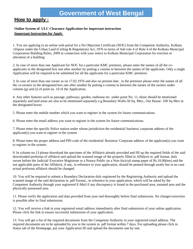### **How to apply :**

#### **Online System of ULC Clearance Application for important instruction Important Instruction for Apply**

1. You are applying in an online web portal for a No Objection Certificate (NOC) from the Competent Authority, Kolkata /Alipore under the Urban Land (Ceiling & Regulation) Act, 1976 in terms of Sub rule 4 of Rule 4 of the Kolkata Municipal Corporation Building Rules, 2009 in connection with your notice to Kolkata Municipal Corporation for erection or alteration of a building.

2. In case of more than one Applicant for NOC for a particular KMC premises, please enter the names of all the coapplicants in the designated box one after another by putting a comma in between the names of the applicants. Only a single Application will be required to be submitted for all the applicants for a particular KMC premises.

3. In case of more than one owner as on 17.02.1976 and also on present date , in the premises please enter the names of all the co-owners in the designated box one after another by putting a comma in between the names of the owners under column (g) and (i) of point no. 10 of the Application.

4. Any other features such as passage, pathways, garden, outhouse etc. under point No. 11, those should be mentioned separately and land areas are also to be mentioned separately e.g Boundary Walls-50 Sq. Mtrs., Out House- 100 Sq Mtrs in the designated boxes

5. Please enter the mobile number which you want to register in the system for future communications.

6. Please enter the email address you want to register in the system for future communications.

7. Please enter the specific Police station under whose jurisdiction the residential/ business/ corporate address of the applicant(s) you want to register in the system.

8. Please enter the proper address and PIN code of the residential/ Business/ Corporate address of the applicant(s) you want to register in the system.

9. In column no.13 please download the specimen of the Affidavit already provided and fill up the required fields of the said downloaded proforma of affidavit and upload the scanned image of the properly filled in Affidavit in .pdf format, duly sworn before the Judicial/ Executive Magistrate or a Notary Public on a Non-Jucicial stamp paper of Rs.10.00(ten) and the not applicable parts of the Affidavit, if any, in reference to your application, should be penned through neatly but in no case actual proforma affidavit should be changed.

10. You will be required to submit a Boundary Declaration duly registered by the Registering Authority and upload the scanned image of the said declaration in .pdf Format., in reference to your application, which will be asked by the Competent Authority through your registered E-Mail if any discrepancy is found in the purchased area, mutated area and the physically possessed area.

11. Please verify the application and data provided from your end thoroughly before final submission. No change/correction is possible after its final submission.

12. You will receive a link in your registered email address immediately after final submission of your online application. Please click the link to ensure successful submission of your application.

13. You will get a list of the required documents from the Competent Authority in your registered email address. The required documents are to be uploaded by you in the system in. pdf format within 7 days. For uploading please click in Status tab of the Homepage, put your Application ID and upload the documents one by one.